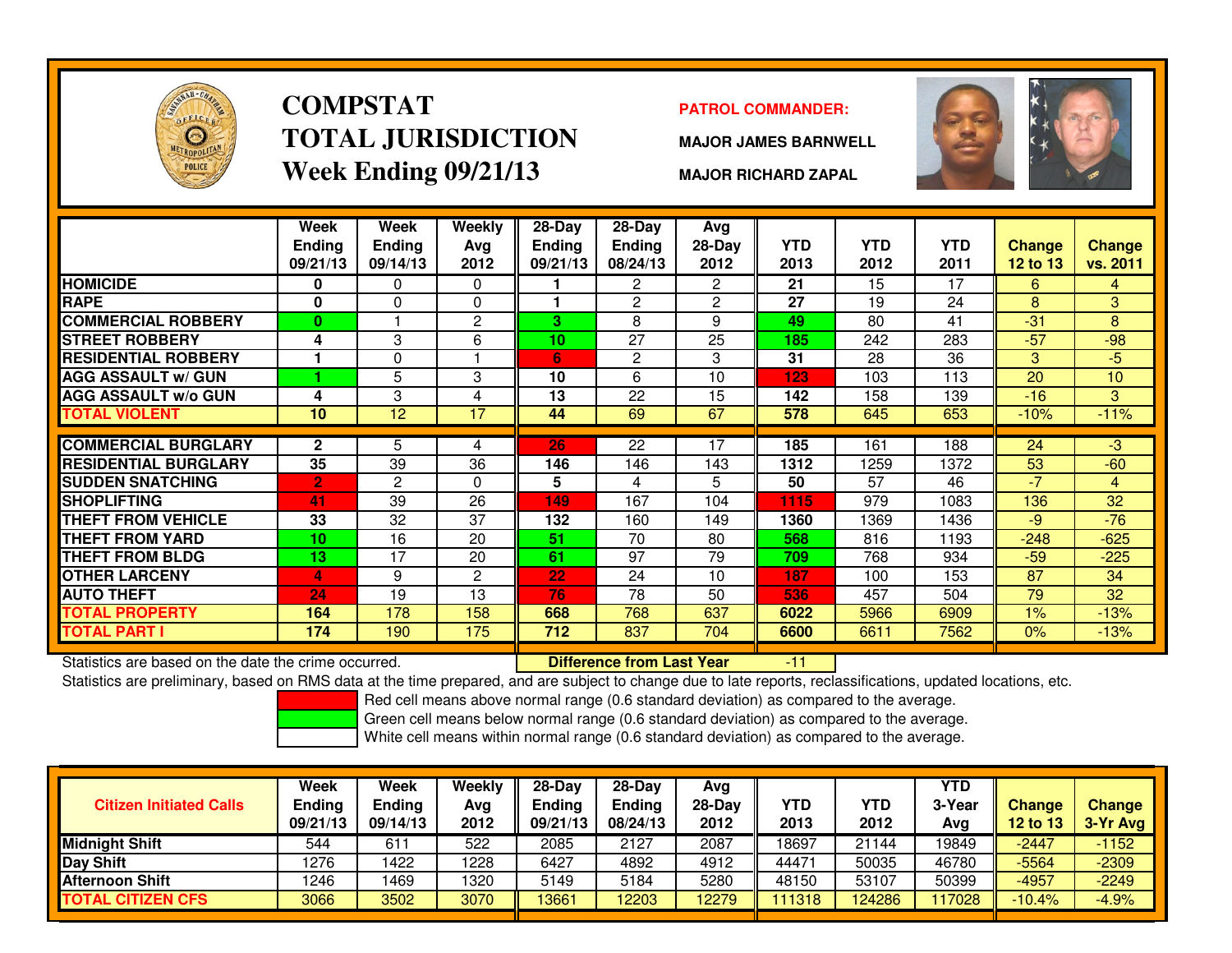

# **COMPSTATTOTAL JURISDICTIONWeek Ending 09/21/13**

### **PATROL COMMANDER:**

**MAJOR JAMES BARNWELL**



**MAJOR RICHARD ZAPAL**

|                             | Week<br><b>Ending</b><br>09/21/13 | Week<br><b>Ending</b><br>09/14/13 | Weekly<br>Avg<br>2012 | 28-Day<br><b>Ending</b><br>09/21/13 | 28-Day<br><b>Ending</b><br>08/24/13 | Avg<br>$28-Day$<br>2012 | <b>YTD</b><br>2013 | <b>YTD</b><br>2012 | YTD<br>2011 | Change<br><b>12 to 13</b> | <b>Change</b><br>vs. 2011 |
|-----------------------------|-----------------------------------|-----------------------------------|-----------------------|-------------------------------------|-------------------------------------|-------------------------|--------------------|--------------------|-------------|---------------------------|---------------------------|
| <b>HOMICIDE</b>             | 0                                 | 0                                 | $\Omega$              |                                     | $\overline{2}$                      | $\overline{2}$          | 21                 | 15                 | 17          | 6                         | 4                         |
| <b>RAPE</b>                 | 0                                 | $\Omega$                          | $\Omega$              |                                     | $\overline{c}$                      | $\overline{2}$          | 27                 | 19                 | 24          | 8                         | 3                         |
| <b>COMMERCIAL ROBBERY</b>   | $\bf{0}$                          |                                   | $\overline{c}$        | 3                                   | 8                                   | 9                       | 49                 | 80                 | 41          | $-31$                     | 8                         |
| <b>STREET ROBBERY</b>       | 4                                 | 3                                 | 6                     | 10                                  | 27                                  | 25                      | 185                | 242                | 283         | $-57$                     | $-98$                     |
| <b>RESIDENTIAL ROBBERY</b>  |                                   | 0                                 |                       | 6                                   | 2                                   | 3                       | 31                 | 28                 | 36          | 3                         | $-5$                      |
| <b>AGG ASSAULT w/ GUN</b>   |                                   | 5                                 | 3                     | 10                                  | 6                                   | 10                      | 123                | 103                | 113         | 20                        | 10                        |
| <b>AGG ASSAULT w/o GUN</b>  | 4                                 | 3                                 | 4                     | 13                                  | 22                                  | 15                      | 142                | 158                | 139         | $-16$                     | 3                         |
| TOTAL VIOLENT               | 10                                | 12                                | 17                    | 44                                  | 69                                  | 67                      | 578                | 645                | 653         | $-10%$                    | $-11%$                    |
|                             |                                   |                                   |                       |                                     |                                     |                         |                    |                    |             |                           |                           |
| <b>COMMERCIAL BURGLARY</b>  | $\mathbf{2}$                      | 5                                 | 4                     | 26                                  | 22                                  | 17                      | 185                | 161                | 188         | 24                        | -3                        |
| <b>RESIDENTIAL BURGLARY</b> | 35                                | 39                                | 36                    | 146                                 | 146                                 | 143                     | 1312               | 1259               | 1372        | 53                        | $-60$                     |
| <b>SUDDEN SNATCHING</b>     | $\overline{2}$                    | 2                                 | $\Omega$              | 5                                   | 4                                   | 5                       | 50                 | 57                 | 46          | $-7$                      | 4                         |
| <b>SHOPLIFTING</b>          | 41                                | 39                                | 26                    | 149                                 | 167                                 | 104                     | 1115               | 979                | 1083        | 136                       | 32                        |
| <b>THEFT FROM VEHICLE</b>   | 33                                | 32                                | 37                    | 132                                 | 160                                 | 149                     | 1360               | 1369               | 1436        | $-9$                      | $-76$                     |
| <b>THEFT FROM YARD</b>      | 10                                | 16                                | 20                    | 51                                  | 70                                  | 80                      | 568                | 816                | 1193        | $-248$                    | $-625$                    |
| <b>THEFT FROM BLDG</b>      | 13                                | 17                                | 20                    | 61                                  | 97                                  | 79                      | 709                | 768                | 934         | $-59$                     | $-225$                    |
| <b>OTHER LARCENY</b>        | 4                                 | 9                                 | $\overline{2}$        | 22                                  | 24                                  | 10                      | 187                | 100                | 153         | 87                        | 34                        |
| <b>AUTO THEFT</b>           | 24                                | 19                                | 13                    | 76                                  | 78                                  | 50                      | 536                | 457                | 504         | 79                        | 32                        |
| TOTAL PROPERTY              | 164                               | 178                               | 158                   | 668                                 | 768                                 | 637                     | 6022               | 5966               | 6909        | $1\%$                     | $-13%$                    |
| TOTAL PART I                | 174                               | 190                               | 175                   | 712                                 | 837                                 | 704                     | 6600               | 6611               | 7562        | 0%                        | $-13%$                    |

Statistics are based on the date the crime occurred. **Difference from Last Year** 

Statistics are based on the date the crime occurred. **[19] Luite Luite Luiterence from Last Year** [11] 11 [11] [<br>Statistics are preliminary, based on RMS data at the time prepared, and are subject to change due to late rep

Red cell means above normal range (0.6 standard deviation) as compared to the average.

Green cell means below normal range (0.6 standard deviation) as compared to the average.

| <b>Citizen Initiated Calls</b> | Week<br><b>Ending</b><br>09/21/13 | Week<br><b>Ending</b><br>09/14/13 | Weekly<br>Avg<br>2012 | $28-Dav$<br><b>Ending</b><br>09/21/13 | $28-Dav$<br>Ending<br>08/24/13 | Avg<br>$28-Day$<br>2012 | <b>YTD</b><br>2013 | YTD<br>2012 | YTD<br>3-Year<br>Avg | <b>Change</b><br><b>12 to 13</b> | Change<br>3-Yr Avg |
|--------------------------------|-----------------------------------|-----------------------------------|-----------------------|---------------------------------------|--------------------------------|-------------------------|--------------------|-------------|----------------------|----------------------------------|--------------------|
| <b>I</b> Midniaht Shift        | 544                               | 61                                | 522                   | 2085                                  | 2127                           | 2087                    | 18697              | 21144       | 19849                | -2447                            | $-1152$            |
| Day Shift                      | 1276                              | 422                               | 1228                  | 6427                                  | 4892                           | 4912                    | 44471              | 50035       | 46780                | $-5564$                          | $-2309$            |
| <b>Afternoon Shift</b>         | 1246                              | 1469                              | 1320                  | 5149                                  | 5184                           | 5280                    | 48150              | 53107       | 50399                | $-4957$                          | $-2249$            |
| TOTAL CITIZEN CFS              | 3066                              | 3502                              | 3070                  | 3661                                  | 12203                          | 12279                   | 111318             | 124286      | 117028               | $-10.4%$                         | $-4.9%$            |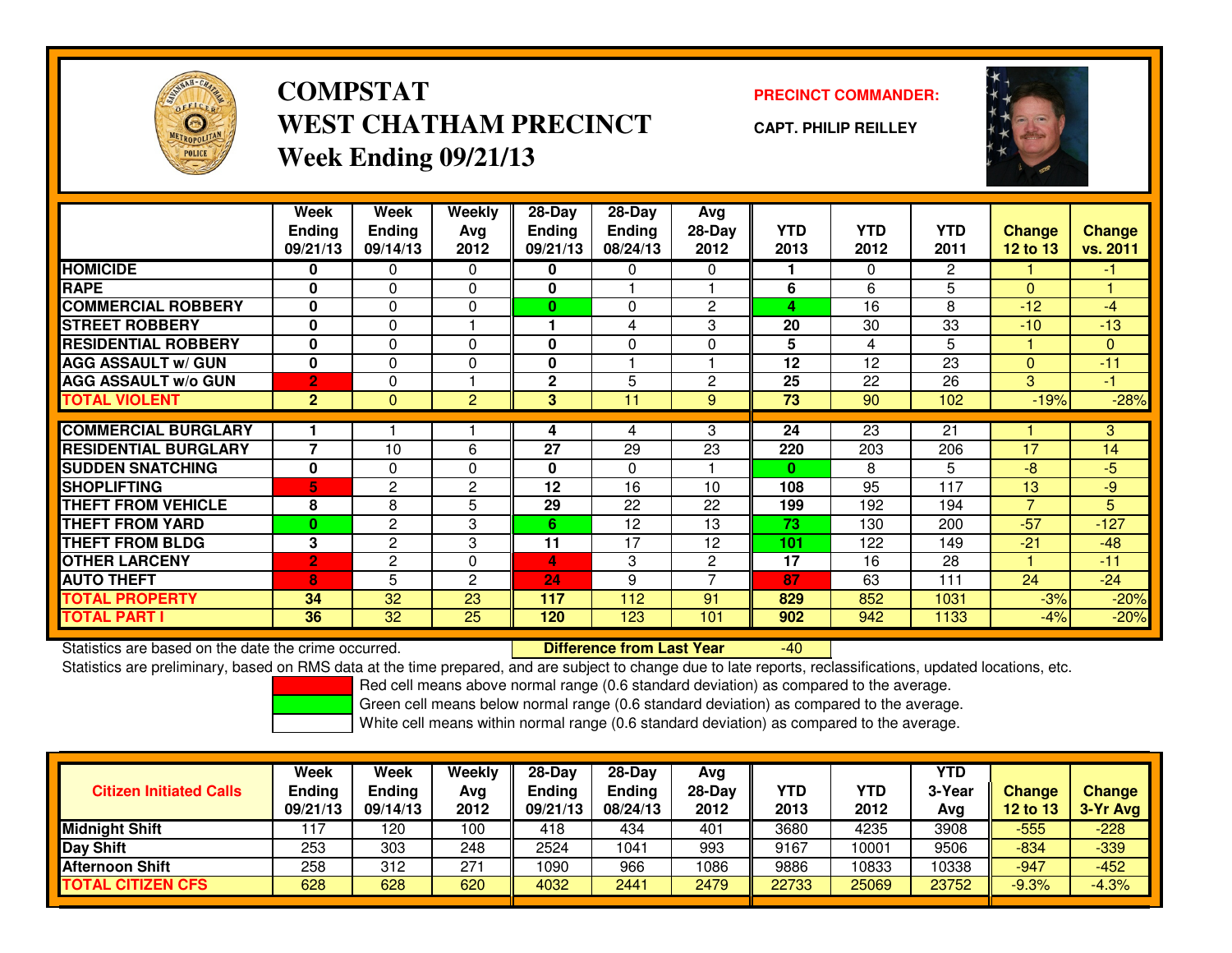

## **COMPSTATPRECINCT COMMANDER:**<br>
PRECINCT COMMANDER: **WEST CHATHAM PRECINCTWeek Ending 09/21/13**

**CAPT. PHILIP REILLEY**



|                             | Week<br><b>Ending</b> | Week<br><b>Ending</b> | <b>Weekly</b><br>Avg | $28-Day$<br><b>Endina</b> | $28-Day$<br><b>Ending</b> | Avg<br>28-Day  | <b>YTD</b>   | <b>YTD</b>   | <b>YTD</b>     | <b>Change</b>  | <b>Change</b> |
|-----------------------------|-----------------------|-----------------------|----------------------|---------------------------|---------------------------|----------------|--------------|--------------|----------------|----------------|---------------|
|                             | 09/21/13              | 09/14/13              | 2012                 | 09/21/13                  | 08/24/13                  | 2012           | 2013         | 2012         | 2011           | 12 to 13       | vs. 2011      |
| <b>HOMICIDE</b>             | 0                     | 0                     | 0                    | 0                         | 0                         | 0              |              | $\mathbf{0}$ | $\overline{2}$ |                | -1            |
| <b>RAPE</b>                 | 0                     | $\Omega$              | $\Omega$             | 0                         |                           |                | 6            | 6            | 5              | $\Omega$       |               |
| <b>COMMERCIAL ROBBERY</b>   | $\bf{0}$              | $\Omega$              | $\Omega$             | $\bf{0}$                  | $\Omega$                  | $\overline{2}$ | 4            | 16           | 8              | $-12$          | $-4$          |
| <b>STREET ROBBERY</b>       | 0                     | $\Omega$              |                      |                           | 4                         | 3              | 20           | 30           | 33             | $-10$          | $-13$         |
| <b>RESIDENTIAL ROBBERY</b>  | 0                     | $\Omega$              | $\Omega$             | 0                         | $\Omega$                  | $\Omega$       | 5            | 4            | 5              |                | $\mathbf{0}$  |
| <b>AGG ASSAULT w/ GUN</b>   | $\mathbf{0}$          | 0                     | 0                    | 0                         |                           |                | 12           | 12           | 23             | $\Omega$       | $-11$         |
| <b>AGG ASSAULT w/o GUN</b>  | $\overline{2}$        | $\Omega$              |                      | $\mathbf{2}$              | 5                         | $\overline{2}$ | 25           | 22           | 26             | 3              | $-1$          |
| <b>TOTAL VIOLENT</b>        | $\overline{2}$        | $\mathbf{0}$          | 2                    | 3                         | 11                        | 9              | 73           | 90           | 102            | $-19%$         | $-28%$        |
|                             |                       |                       |                      |                           |                           |                |              |              |                |                |               |
| <b>COMMERCIAL BURGLARY</b>  |                       |                       |                      | 4                         | 4                         | 3              | 24           | 23           | 21             |                | 3             |
| <b>RESIDENTIAL BURGLARY</b> | 7                     | 10                    | 6                    | 27                        | 29                        | 23             | 220          | 203          | 206            | 17             | 14            |
| <b>SUDDEN SNATCHING</b>     | 0                     | $\Omega$              | $\Omega$             | 0                         | $\Omega$                  |                | $\mathbf{0}$ | 8            | 5              | $-8$           | $-5$          |
| <b>SHOPLIFTING</b>          | 5.                    | 2                     | $\overline{c}$       | 12                        | 16                        | 10             | 108          | 95           | 117            | 13             | $-9$          |
| <b>THEFT FROM VEHICLE</b>   | 8                     | 8                     | 5                    | 29                        | 22                        | 22             | 199          | 192          | 194            | $\overline{7}$ | 5             |
| <b>THEFT FROM YARD</b>      | $\bf{0}$              | $\mathbf{2}$          | 3                    | 6                         | 12                        | 13             | 73           | 130          | 200            | $-57$          | $-127$        |
| <b>THEFT FROM BLDG</b>      | 3                     | $\mathbf{2}$          | 3                    | 11                        | 17                        | 12             | 101          | 122          | 149            | $-21$          | $-48$         |
| <b>OTHER LARCENY</b>        | $\overline{2}$        | $\overline{c}$        | 0                    | 4                         | 3                         | $\overline{2}$ | 17           | 16           | 28             |                | $-11$         |
| <b>AUTO THEFT</b>           | 8                     | 5                     | 2                    | 24                        | 9                         | 7              | 87           | 63           | 111            | 24             | $-24$         |
| <b>TOTAL PROPERTY</b>       | 34                    | 32                    | 23                   | 117                       | 112                       | 91             | 829          | 852          | 1031           | $-3%$          | $-20%$        |
| <b>TOTAL PART I</b>         | 36                    | 32                    | 25                   | 120                       | 123                       | 101            | 902          | 942          | 1133           | $-4%$          | $-20%$        |

Statistics are based on the date the crime occurred. **Difference from Last Year** 

 $-40$ 

Statistics are preliminary, based on RMS data at the time prepared, and are subject to change due to late reports, reclassifications, updated locations, etc.

Red cell means above normal range (0.6 standard deviation) as compared to the average.

Green cell means below normal range (0.6 standard deviation) as compared to the average.

| <b>Citizen Initiated Calls</b> | Week<br><b>Ending</b><br>09/21/13 | Week<br>Ending<br>09/14/13 | Weekly<br>Avg<br>2012 | $28-Day$<br><b>Ending</b><br>09/21/13 | $28$ -Dav<br><b>Endina</b><br>08/24/13 | Avg<br>28-Day<br>2012 | YTD<br>2013 | YTD<br>2012 | <b>YTD</b><br>3-Year<br>Avg | Change<br>12 to 13 | <b>Change</b><br>3-Yr Avg |
|--------------------------------|-----------------------------------|----------------------------|-----------------------|---------------------------------------|----------------------------------------|-----------------------|-------------|-------------|-----------------------------|--------------------|---------------------------|
| <b>Midnight Shift</b>          |                                   | 120                        | 100                   | 418                                   | 434                                    | 401                   | 3680        | 4235        | 3908                        | $-555$             | $-228$                    |
| <b>IDay Shift</b>              | 253                               | 303                        | 248                   | 2524                                  | 1041                                   | 993                   | 9167        | 10001       | 9506                        | $-834$             | $-339$                    |
| <b>Afternoon Shift</b>         | 258                               | 312                        | 271                   | 1090                                  | 966                                    | 1086                  | 9886        | 10833       | 10338                       | $-947$             | $-452$                    |
| <b>TOTAL CITIZEN CFS</b>       | 628                               | 628                        | 620                   | 4032                                  | 2441                                   | 2479                  | 22733       | 25069       | 23752                       | $-9.3%$            | $-4.3%$                   |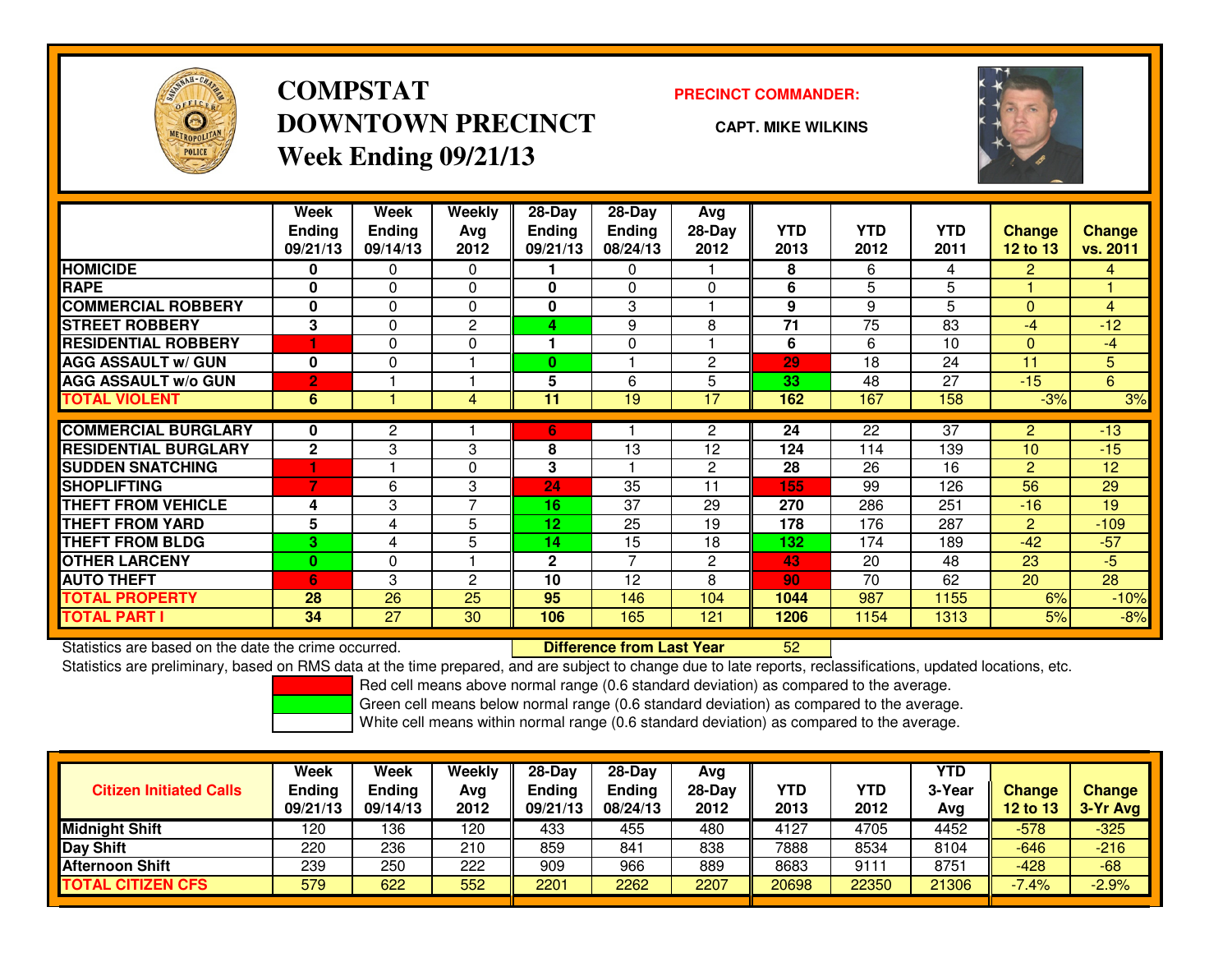

# **COMPSTATDOWNTOWN PRECINCTWeek Ending 09/21/13**

### **PRECINCT COMMANDER:**

**CAPT. MIKE WILKINS**

<sup>52</sup>



|                             | Week<br><b>Ending</b><br>09/21/13 | Week<br><b>Ending</b><br>09/14/13 | Weekly<br>Ava<br>2012 | 28-Day<br>Ending<br>09/21/13 | $28$ -Day<br><b>Endina</b><br>08/24/13 | Avg<br>$28-Day$<br>2012 | <b>YTD</b><br>2013 | <b>YTD</b><br>2012 | <b>YTD</b><br>2011 | <b>Change</b><br>12 to 13 | <b>Change</b><br>vs. 2011 |
|-----------------------------|-----------------------------------|-----------------------------------|-----------------------|------------------------------|----------------------------------------|-------------------------|--------------------|--------------------|--------------------|---------------------------|---------------------------|
| <b>HOMICIDE</b>             | 0                                 | 0                                 | $\Omega$              |                              | 0                                      |                         | 8                  | 6                  | 4                  | $\overline{2}$            | 4                         |
| <b>RAPE</b>                 | 0                                 | 0                                 | 0                     | 0                            | $\Omega$                               | $\Omega$                | 6                  | 5                  | 5                  |                           |                           |
| <b>COMMERCIAL ROBBERY</b>   | 0                                 | 0                                 | $\Omega$              | 0                            | 3                                      |                         | 9                  | 9                  | 5                  | $\Omega$                  | 4                         |
| <b>STREET ROBBERY</b>       | 3                                 | 0                                 | 2                     | 4                            | 9                                      | 8                       | 71                 | 75                 | 83                 | -4                        | $-12$                     |
| <b>RESIDENTIAL ROBBERY</b>  | 4                                 | 0                                 | 0                     |                              | $\Omega$                               |                         | 6                  | 6                  | 10                 | $\mathbf{0}$              | $-4$                      |
| <b>AGG ASSAULT w/ GUN</b>   | 0                                 | 0                                 |                       | 0                            |                                        | $\overline{c}$          | 29                 | 18                 | 24                 | 11                        | 5                         |
| <b>AGG ASSAULT w/o GUN</b>  | $\overline{2}$                    |                                   |                       | 5                            | 6                                      | 5                       | 33                 | 48                 | 27                 | $-15$                     | 6                         |
| <b>TOTAL VIOLENT</b>        | 6                                 |                                   | 4                     | 11                           | 19                                     | 17                      | 162                | 167                | 158                | $-3%$                     | 3%                        |
| <b>COMMERCIAL BURGLARY</b>  | 0                                 | 2                                 |                       | 6                            |                                        | $\overline{2}$          | 24                 | 22                 | 37                 | $\overline{2}$            | $-13$                     |
| <b>RESIDENTIAL BURGLARY</b> | $\mathbf{2}$                      | 3                                 | 3                     | 8                            | 13                                     | 12                      | 124                | 114                | 139                | 10                        | $-15$                     |
| <b>SUDDEN SNATCHING</b>     |                                   |                                   | $\Omega$              | 3                            |                                        | $\overline{c}$          | 28                 | 26                 | 16                 | $\overline{2}$            | 12                        |
| <b>SHOPLIFTING</b>          | 7                                 | 6                                 | 3                     | 24                           | 35                                     | 11                      | 155                | 99                 | 126                | 56                        | 29                        |
| <b>THEFT FROM VEHICLE</b>   | 4                                 | 3                                 | $\overline{ }$        | 16                           | 37                                     | 29                      | 270                | 286                | 251                | $-16$                     | 19                        |
| <b>THEFT FROM YARD</b>      | 5                                 | 4                                 | 5                     | 12                           | 25                                     | 19                      | 178                | 176                | 287                | 2                         | $-109$                    |
| <b>THEFT FROM BLDG</b>      | 3                                 | 4                                 | 5                     | 14                           | 15                                     | 18                      | 132                | 174                | 189                | $-42$                     | $-57$                     |
| <b>OTHER LARCENY</b>        | $\bf{0}$                          | 0                                 |                       | $\mathbf 2$                  | 7                                      | $\overline{c}$          | 43                 | 20                 | 48                 | 23                        | $-5$                      |
| <b>AUTO THEFT</b>           | 6                                 | 3                                 | $\overline{c}$        | 10                           | 12                                     | 8                       | 90                 | 70                 | 62                 | 20                        | $\overline{28}$           |
| <b>TOTAL PROPERTY</b>       | 28                                | 26                                | 25                    | 95                           | 146                                    | 104                     | 1044               | 987                | 1155               | 6%                        | $-10%$                    |
| <b>TOTAL PART I</b>         | 34                                | 27                                | 30                    | 106                          | 165                                    | 121                     | 1206               | 1154               | 1313               | 5%                        | $-8%$                     |

Statistics are based on the date the crime occurred. **Difference from Last Year** 

Statistics are preliminary, based on RMS data at the time prepared, and are subject to change due to late reports, reclassifications, updated locations, etc.

Red cell means above normal range (0.6 standard deviation) as compared to the average.

Green cell means below normal range (0.6 standard deviation) as compared to the average.

|                                | <b>Week</b>   | <b>Week</b> | Weekly | $28-Day$      | $28-Dav$ | Avg    |       |            | YTD    |               |               |
|--------------------------------|---------------|-------------|--------|---------------|----------|--------|-------|------------|--------|---------------|---------------|
| <b>Citizen Initiated Calls</b> | <b>Ending</b> | Ending      | Avg    | <b>Endina</b> | Ending   | 28-Dav | YTD   | <b>YTD</b> | 3-Year | <b>Change</b> | <b>Change</b> |
|                                | 09/21/13      | 09/14/13    | 2012   | 09/21/13      | 08/24/13 | 2012   | 2013  | 2012       | Avg    | 12 to 13      | 3-Yr Avg      |
| <b>Midnight Shift</b>          | 120           | 136         | 120    | 433           | 455      | 480    | 4127  | 4705       | 4452   | $-578$        | $-325$        |
| Day Shift                      | 220           | 236         | 210    | 859           | 841      | 838    | 7888  | 8534       | 8104   | $-646$        | $-216$        |
| <b>Afternoon Shift</b>         | 239           | 250         | 222    | 909           | 966      | 889    | 8683  | 9111       | 8751   | $-428$        | $-68$         |
| <b>TOTAL CITIZEN CFS</b>       | 579           | 622         | 552    | 2201          | 2262     | 2207   | 20698 | 22350      | 21306  | $-7.4%$       | $-2.9%$       |
|                                |               |             |        |               |          |        |       |            |        |               |               |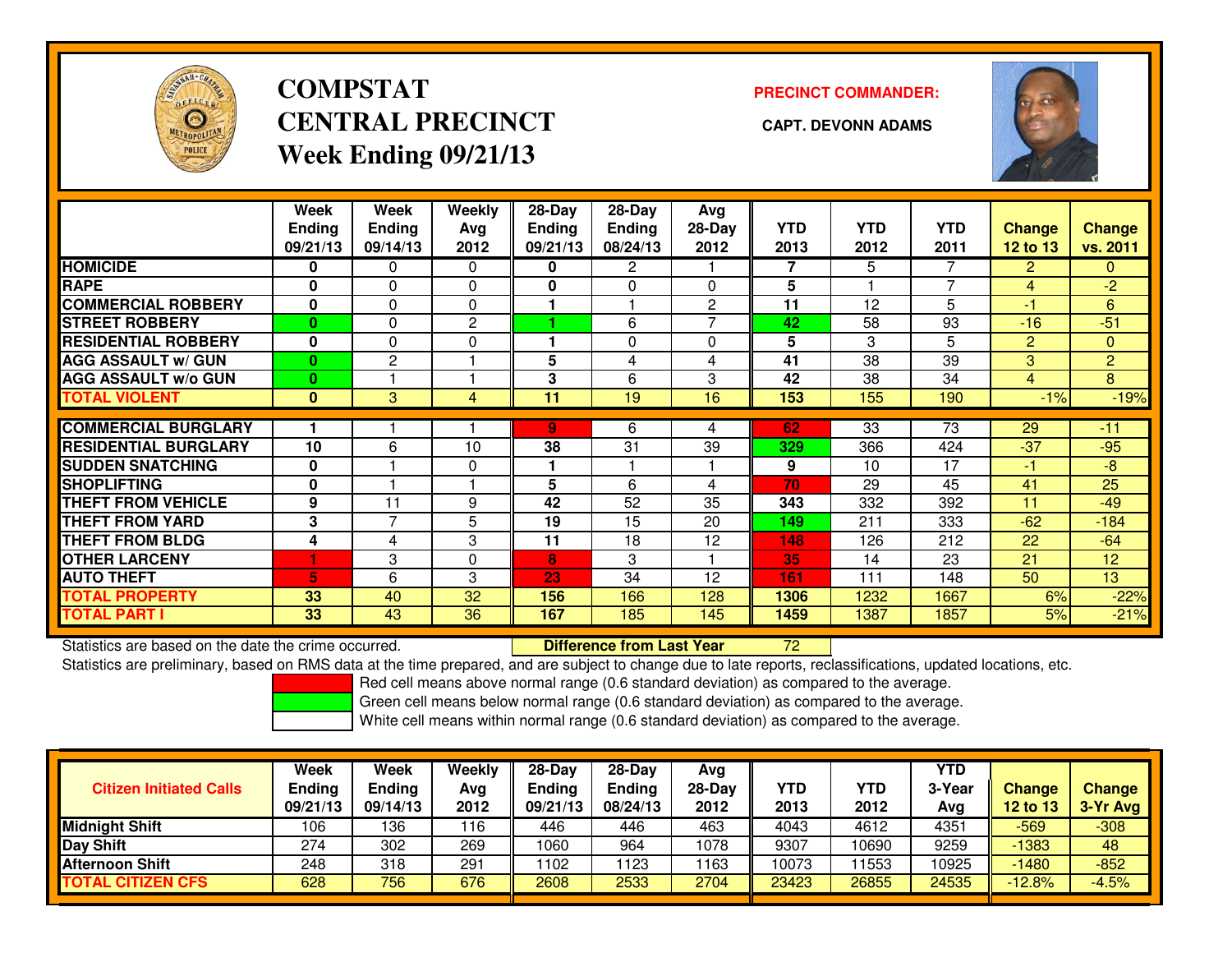

# **COMPSTATCENTRAL PRECINCT CAPT. DEVONN ADAMSWeek Ending 09/21/13**

**PRECINCT COMMANDER:**



|                             | Week<br><b>Ending</b><br>09/21/13 | Week<br><b>Ending</b><br>09/14/13 | Weekly<br>Ava<br>2012 | 28-Day<br><b>Ending</b><br>09/21/13 | 28-Day<br>Ending<br>08/24/13 | Avg<br>$28-Day$<br>2012 | <b>YTD</b><br>2013 | <b>YTD</b><br>2012 | <b>YTD</b><br>2011 | <b>Change</b><br><b>12 to 13</b> | <b>Change</b><br>vs. 2011 |
|-----------------------------|-----------------------------------|-----------------------------------|-----------------------|-------------------------------------|------------------------------|-------------------------|--------------------|--------------------|--------------------|----------------------------------|---------------------------|
| <b>HOMICIDE</b>             | 0                                 | 0                                 | $\Omega$              | 0                                   | $\mathbf{2}$                 |                         | 7                  | 5                  | 7                  | $\overline{2}$                   | $\overline{0}$            |
| <b>RAPE</b>                 | 0                                 | 0                                 | 0                     | 0                                   | $\Omega$                     | $\Omega$                | 5                  |                    | 7                  | 4                                | $-2$                      |
| <b>COMMERCIAL ROBBERY</b>   | $\bf{0}$                          | 0                                 | $\Omega$              |                                     |                              | $\overline{2}$          | 11                 | 12                 | 5                  | -1                               | 6                         |
| <b>STREET ROBBERY</b>       | 0                                 | 0                                 | 2                     |                                     | 6                            | 7                       | 42                 | 58                 | 93                 | $-16$                            | $-51$                     |
| <b>RESIDENTIAL ROBBERY</b>  | 0                                 | 0                                 | $\Omega$              |                                     | $\Omega$                     | $\Omega$                | 5                  | 3                  | 5                  | 2                                | $\Omega$                  |
| <b>AGG ASSAULT w/ GUN</b>   | $\bf{0}$                          | $\overline{2}$                    |                       | 5                                   | 4                            | 4                       | 41                 | 38                 | 39                 | 3                                | $\overline{2}$            |
| <b>AGG ASSAULT w/o GUN</b>  | $\bf{0}$                          |                                   |                       | 3                                   | 6                            | 3                       | 42                 | 38                 | 34                 | 4                                | 8                         |
| <b>TOTAL VIOLENT</b>        | $\bf{0}$                          | 3                                 | 4                     | 11                                  | 19                           | 16                      | 153                | 155                | 190                | $-1%$                            | $-19%$                    |
|                             |                                   |                                   |                       |                                     |                              |                         |                    |                    |                    |                                  |                           |
| <b>COMMERCIAL BURGLARY</b>  |                                   |                                   |                       | 9.                                  | 6                            | 4                       | 62                 | 33                 | 73                 | 29                               | $-11$                     |
| <b>RESIDENTIAL BURGLARY</b> | 10                                | 6                                 | 10                    | 38                                  | 31                           | 39                      | 329                | 366                | 424                | $-37$                            | $-95$                     |
| <b>SUDDEN SNATCHING</b>     | $\bf{0}$                          |                                   | 0                     |                                     |                              |                         | 9                  | 10                 | 17                 | -1                               | -8                        |
| <b>SHOPLIFTING</b>          | $\bf{0}$                          |                                   |                       | 5                                   | 6                            | 4                       | 70                 | 29                 | 45                 | 41                               | 25                        |
| <b>THEFT FROM VEHICLE</b>   | 9                                 | 11                                | 9                     | 42                                  | 52                           | 35                      | 343                | 332                | 392                | 11                               | $-49$                     |
| <b>THEFT FROM YARD</b>      | 3                                 | 7                                 | 5                     | 19                                  | 15                           | 20                      | 149                | 211                | 333                | $-62$                            | $-184$                    |
| <b>THEFT FROM BLDG</b>      | 4                                 | 4                                 | 3                     | 11                                  | 18                           | 12                      | 148                | 126                | 212                | 22                               | $-64$                     |
| <b>OTHER LARCENY</b>        |                                   | 3                                 | $\Omega$              | 8                                   | 3                            |                         | 35                 | 14                 | 23                 | 21                               | 12                        |
| <b>AUTO THEFT</b>           | 5                                 | 6                                 | 3                     | 23                                  | 34                           | 12                      | 161                | 111                | 148                | 50                               | 13                        |
| <b>TOTAL PROPERTY</b>       | 33                                | 40                                | 32                    | 156                                 | 166                          | 128                     | 1306               | 1232               | 1667               | 6%                               | $-22%$                    |
| <b>TOTAL PART I</b>         | 33                                | 43                                | 36                    | 167                                 | 185                          | 145                     | 1459               | 1387               | 1857               | 5%                               | $-21%$                    |

Statistics are based on the date the crime occurred. **Difference from Last Year** 

Statistics are based on the date the crime occurred. **Externee the Luid Confference from Last Year No. 2006** The<br>Statistics are preliminary, based on RMS data at the time prepared, and are subject to change due to late rep

Red cell means above normal range (0.6 standard deviation) as compared to the average.

Green cell means below normal range (0.6 standard deviation) as compared to the average.

| <b>Citizen Initiated Calls</b> | <b>Week</b><br><b>Ending</b><br>09/21/13 | Week<br>Ending<br>09/14/13 | Weekly<br>Avg<br>2012 | $28-Dav$<br><b>Ending</b><br>09/21/13 | $28-Dav$<br><b>Ending</b><br>08/24/13 | Avg<br>$28-Day$<br>2012 | <b>YTD</b><br>2013 | <b>YTD</b><br>2012 | <b>YTD</b><br>3-Year<br>Avg | <b>Change</b><br>12 to 13 | <b>Change</b><br>3-Yr Avg |
|--------------------------------|------------------------------------------|----------------------------|-----------------------|---------------------------------------|---------------------------------------|-------------------------|--------------------|--------------------|-----------------------------|---------------------------|---------------------------|
| <b>Midnight Shift</b>          | 106                                      | 136                        | 116                   | 446                                   | 446                                   | 463                     | 4043               | 4612               | 4351                        | $-569$                    | $-308$                    |
| Day Shift                      | 274                                      | 302                        | 269                   | 1060                                  | 964                                   | 1078                    | 9307               | 10690              | 9259                        | -1383                     | 48                        |
| <b>Afternoon Shift</b>         | 248                                      | 318                        | 291                   | 1102                                  | 1123                                  | 163                     | 10073              | 1553               | 0925                        | $-1480$                   | $-852$                    |
| <b>TOTAL CITIZEN CFS</b>       | 628                                      | 756                        | 676                   | 2608                                  | 2533                                  | 2704                    | 23423              | 26855              | 24535                       | $-12.8%$                  | $-4.5%$                   |
|                                |                                          |                            |                       |                                       |                                       |                         |                    |                    |                             |                           |                           |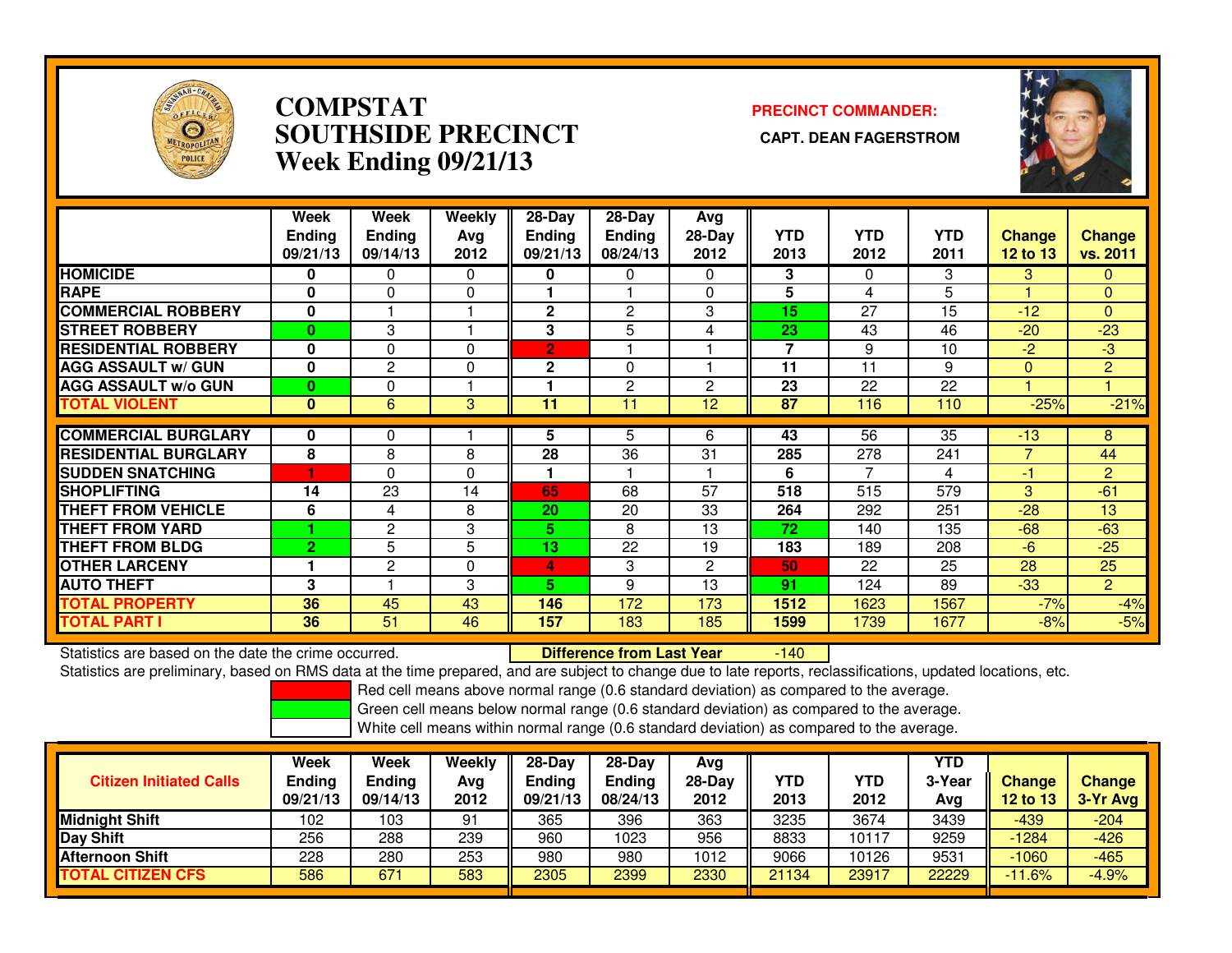

## **COMPSTAT PRECINCT COMMANDER: SOUTHSIDE PRECINCT CAPT. DEAN FAGERSTROMWeek Ending 09/21/13**



|                             | Week<br><b>Ending</b><br>09/21/13 | Week<br><b>Ending</b><br>09/14/13 | Weekly<br>Avg<br>2012 | $28-Day$<br><b>Ending</b><br>09/21/13 | 28-Day<br>Ending<br>08/24/13 | Avg<br>$28-Day$<br>2012 | <b>YTD</b><br>2013 | <b>YTD</b><br>2012 | <b>YTD</b><br>2011 | <b>Change</b><br><b>12 to 13</b> | Change<br>vs. 2011 |
|-----------------------------|-----------------------------------|-----------------------------------|-----------------------|---------------------------------------|------------------------------|-------------------------|--------------------|--------------------|--------------------|----------------------------------|--------------------|
| <b>HOMICIDE</b>             | 0                                 | 0                                 | $\mathbf{0}$          | 0                                     | 0                            | $\Omega$                | 3                  | $\Omega$           | 3                  | 3                                | 0                  |
| <b>RAPE</b>                 | 0                                 | $\Omega$                          | 0                     |                                       |                              | $\Omega$                | 5                  | 4                  | 5                  |                                  | $\mathbf{0}$       |
| <b>COMMERCIAL ROBBERY</b>   | 0                                 |                                   |                       | $\mathbf 2$                           | 2                            | 3                       | 15                 | 27                 | 15                 | $-12$                            | $\mathbf{0}$       |
| <b>STREET ROBBERY</b>       | $\bf{0}$                          | 3                                 |                       | 3                                     | 5                            | 4                       | 23                 | 43                 | 46                 | $-20$                            | $-23$              |
| <b>RESIDENTIAL ROBBERY</b>  | $\mathbf 0$                       | $\Omega$                          | $\Omega$              | $\overline{2}$                        |                              |                         | $\overline{7}$     | 9                  | 10                 | $-2$                             | $-3$               |
| <b>AGG ASSAULT w/ GUN</b>   | $\mathbf 0$                       | $\overline{c}$                    | 0                     | $\mathbf{2}$                          | $\Omega$                     |                         | 11                 | 11                 | 9                  | $\Omega$                         | $\overline{2}$     |
| <b>AGG ASSAULT w/o GUN</b>  | 0                                 | 0                                 |                       |                                       | 2                            | 2                       | 23                 | 22                 | 22                 |                                  |                    |
| <b>TOTAL VIOLENT</b>        | $\mathbf{0}$                      | 6                                 | 3                     | 11                                    | 11                           | 12 <sup>2</sup>         | 87                 | 116                | 110                | $-25%$                           | $-21%$             |
|                             |                                   |                                   |                       |                                       |                              |                         |                    |                    |                    |                                  |                    |
| <b>COMMERCIAL BURGLARY</b>  | 0                                 | $\Omega$                          |                       | 5                                     | 5                            | 6                       | 43                 | $\overline{56}$    | $\overline{35}$    | $-13$                            | 8                  |
| <b>RESIDENTIAL BURGLARY</b> | 8                                 | 8                                 | 8                     | 28                                    | 36                           | 31                      | 285                | 278                | 241                | $\overline{7}$                   | 44                 |
| <b>SUDDEN SNATCHING</b>     |                                   | $\Omega$                          | $\mathbf{0}$          | и                                     |                              |                         | 6                  | 7                  | 4                  | -1                               | $\overline{2}$     |
| <b>SHOPLIFTING</b>          | 14                                | 23                                | 14                    | 65                                    | 68                           | 57                      | 518                | 515                | 579                | 3                                | $-61$              |
| <b>THEFT FROM VEHICLE</b>   | 6                                 | 4                                 | 8                     | 20                                    | 20                           | 33                      | 264                | 292                | 251                | $-28$                            | 13                 |
| <b>THEFT FROM YARD</b>      |                                   | $\overline{c}$                    | 3                     | 5.                                    | 8                            | 13                      | 72                 | 140                | 135                | $-68$                            | $-63$              |
| <b>THEFT FROM BLDG</b>      | $\overline{2}$                    | 5                                 | 5                     | 13                                    | 22                           | 19                      | 183                | 189                | 208                | $-6$                             | $-25$              |
| <b>OTHER LARCENY</b>        |                                   | 2                                 | $\mathbf 0$           | 4                                     | 3                            | $\overline{c}$          | 50                 | 22                 | 25                 | 28                               | 25                 |
| <b>AUTO THEFT</b>           | 3                                 |                                   | 3                     | 5.                                    | 9                            | 13                      | 91                 | 124                | 89                 | $-33$                            | $\overline{2}$     |
| TOTAL PROPERTY              | 36                                | 45                                | 43                    | 146                                   | 172                          | 173                     | 1512               | 1623               | 1567               | $-7%$                            | $-4%$              |
| <b>TOTAL PART I</b>         | 36                                | 51                                | 46                    | 157                                   | 183                          | 185                     | 1599               | 1739               | 1677               | $-8%$                            | $-5%$              |

Statistics are based on the date the crime occurred. **Difference from Last Year** 

 $-140$ 

Statistics are preliminary, based on RMS data at the time prepared, and are subject to change due to late reports, reclassifications, updated locations, etc.

Red cell means above normal range (0.6 standard deviation) as compared to the average.

Green cell means below normal range (0.6 standard deviation) as compared to the average.

| <b>Citizen Initiated Calls</b> | Week<br><b>Ending</b><br>09/21/13 | Week<br><b>Ending</b><br>09/14/13 | Weekly<br>Avg<br>2012 | $28-Day$<br><b>Ending</b><br>09/21/13 | 28-Dav<br><b>Ending</b><br>08/24/13 | Avg<br>28-Day<br>2012 | YTD<br>2013 | YTD<br>2012 | YTD<br>3-Year<br>Avg | <b>Change</b><br>12 to 13 | <b>Change</b><br>3-Yr Avg |
|--------------------------------|-----------------------------------|-----------------------------------|-----------------------|---------------------------------------|-------------------------------------|-----------------------|-------------|-------------|----------------------|---------------------------|---------------------------|
| <b>Midnight Shift</b>          | 102                               | 103                               | 91                    | 365                                   | 396                                 | 363                   | 3235        | 3674        | 3439                 | $-439$                    | $-204$                    |
| Day Shift                      | 256                               | 288                               | 239                   | 960                                   | 1023                                | 956                   | 8833        | 10117       | 9259                 | $-1284$                   | $-426$                    |
| <b>Afternoon Shift</b>         | 228                               | 280                               | 253                   | 980                                   | 980                                 | 1012                  | 9066        | 10126       | 9531                 | $-1060$                   | $-465$                    |
| <b>TOTAL CITIZEN CFS</b>       | 586                               | 67 <sup>°</sup>                   | 583                   | 2305                                  | 2399                                | 2330                  | 21134       | 23917       | 22229                | $-11.6%$                  | $-4.9%$                   |